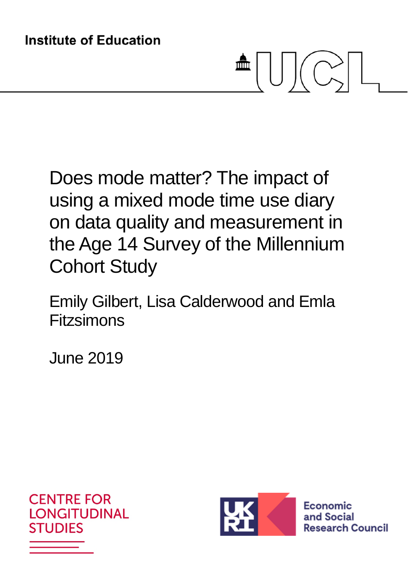# $\blacksquare \cup \cup \subset$

Does mode matter? The impact of using a mixed mode time use diary on data quality and measurement in the Age 14 Survey of the Millennium Cohort Study

Emily Gilbert, Lisa Calderwood and Emla Fitzsimons

June 2019





Economic and Social **Research Council**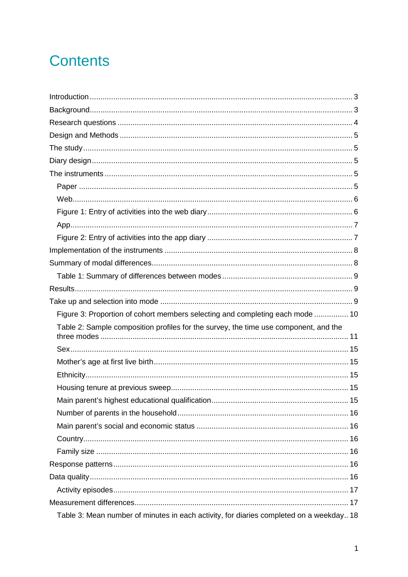# **Contents**

| Figure 3: Proportion of cohort members selecting and completing each mode  10        |  |
|--------------------------------------------------------------------------------------|--|
| Table 2: Sample composition profiles for the survey, the time use component, and the |  |
|                                                                                      |  |
|                                                                                      |  |
|                                                                                      |  |
|                                                                                      |  |
|                                                                                      |  |
|                                                                                      |  |
|                                                                                      |  |
|                                                                                      |  |
|                                                                                      |  |
|                                                                                      |  |
|                                                                                      |  |
|                                                                                      |  |
|                                                                                      |  |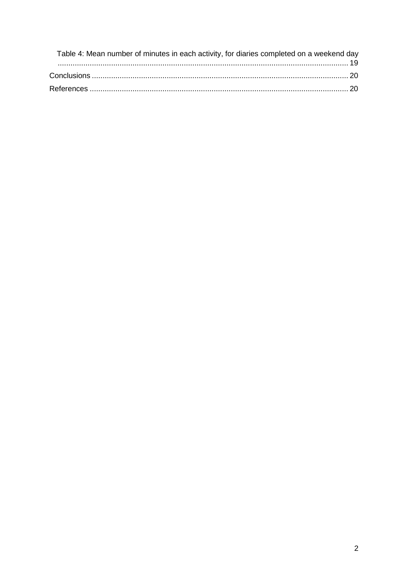| Table 4: Mean number of minutes in each activity, for diaries completed on a weekend day |  |
|------------------------------------------------------------------------------------------|--|
|                                                                                          |  |
|                                                                                          |  |
|                                                                                          |  |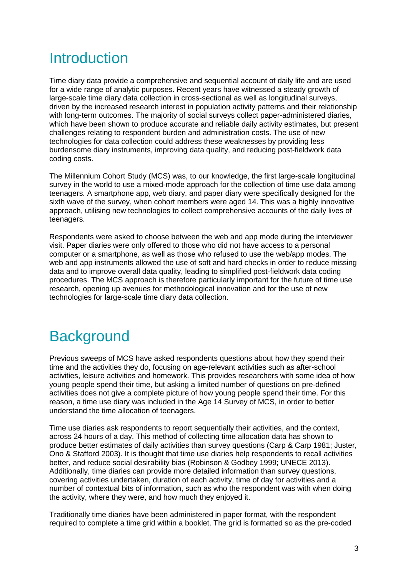# **Introduction**

Time diary data provide a comprehensive and sequential account of daily life and are used for a wide range of analytic purposes. Recent years have witnessed a steady growth of large-scale time diary data collection in cross-sectional as well as longitudinal surveys, driven by the increased research interest in population activity patterns and their relationship with long-term outcomes. The majority of social surveys collect paper-administered diaries, which have been shown to produce accurate and reliable daily activity estimates, but present challenges relating to respondent burden and administration costs. The use of new technologies for data collection could address these weaknesses by providing less burdensome diary instruments, improving data quality, and reducing post-fieldwork data coding costs.

The Millennium Cohort Study (MCS) was, to our knowledge, the first large-scale longitudinal survey in the world to use a mixed-mode approach for the collection of time use data among teenagers. A smartphone app, web diary, and paper diary were specifically designed for the sixth wave of the survey, when cohort members were aged 14. This was a highly innovative approach, utilising new technologies to collect comprehensive accounts of the daily lives of teenagers.

Respondents were asked to choose between the web and app mode during the interviewer visit. Paper diaries were only offered to those who did not have access to a personal computer or a smartphone, as well as those who refused to use the web/app modes. The web and app instruments allowed the use of soft and hard checks in order to reduce missing data and to improve overall data quality, leading to simplified post-fieldwork data coding procedures. The MCS approach is therefore particularly important for the future of time use research, opening up avenues for methodological innovation and for the use of new technologies for large-scale time diary data collection.

# **Background**

Previous sweeps of MCS have asked respondents questions about how they spend their time and the activities they do, focusing on age-relevant activities such as after-school activities, leisure activities and homework. This provides researchers with some idea of how young people spend their time, but asking a limited number of questions on pre-defined activities does not give a complete picture of how young people spend their time. For this reason, a time use diary was included in the Age 14 Survey of MCS, in order to better understand the time allocation of teenagers.

Time use diaries ask respondents to report sequentially their activities, and the context, across 24 hours of a day. This method of collecting time allocation data has shown to produce better estimates of daily activities than survey questions (Carp & Carp 1981; Juster, Ono & Stafford 2003). It is thought that time use diaries help respondents to recall activities better, and reduce social desirability bias (Robinson & Godbey 1999; UNECE 2013). Additionally, time diaries can provide more detailed information than survey questions, covering activities undertaken, duration of each activity, time of day for activities and a number of contextual bits of information, such as who the respondent was with when doing the activity, where they were, and how much they enjoyed it.

Traditionally time diaries have been administered in paper format, with the respondent required to complete a time grid within a booklet. The grid is formatted so as the pre-coded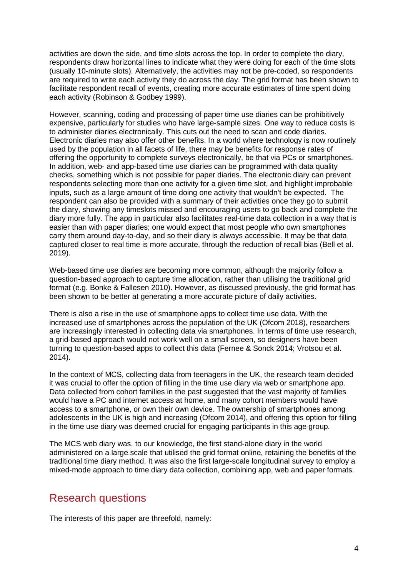activities are down the side, and time slots across the top. In order to complete the diary, respondents draw horizontal lines to indicate what they were doing for each of the time slots (usually 10-minute slots). Alternatively, the activities may not be pre-coded, so respondents are required to write each activity they do across the day. The grid format has been shown to facilitate respondent recall of events, creating more accurate estimates of time spent doing each activity (Robinson & Godbey 1999).

However, scanning, coding and processing of paper time use diaries can be prohibitively expensive, particularly for studies who have large-sample sizes. One way to reduce costs is to administer diaries electronically. This cuts out the need to scan and code diaries. Electronic diaries may also offer other benefits. In a world where technology is now routinely used by the population in all facets of life, there may be benefits for response rates of offering the opportunity to complete surveys electronically, be that via PCs or smartphones. In addition, web- and app-based time use diaries can be programmed with data quality checks, something which is not possible for paper diaries. The electronic diary can prevent respondents selecting more than one activity for a given time slot, and highlight improbable inputs, such as a large amount of time doing one activity that wouldn't be expected. The respondent can also be provided with a summary of their activities once they go to submit the diary, showing any timeslots missed and encouraging users to go back and complete the diary more fully. The app in particular also facilitates real-time data collection in a way that is easier than with paper diaries; one would expect that most people who own smartphones carry them around day-to-day, and so their diary is always accessible. It may be that data captured closer to real time is more accurate, through the reduction of recall bias (Bell et al. 2019).

Web-based time use diaries are becoming more common, although the majority follow a question-based approach to capture time allocation, rather than utilising the traditional grid format (e.g. Bonke & Fallesen 2010). However, as discussed previously, the grid format has been shown to be better at generating a more accurate picture of daily activities.

There is also a rise in the use of smartphone apps to collect time use data. With the increased use of smartphones across the population of the UK (Ofcom 2018), researchers are increasingly interested in collecting data via smartphones. In terms of time use research, a grid-based approach would not work well on a small screen, so designers have been turning to question-based apps to collect this data (Fernee & Sonck 2014; Vrotsou et al. 2014).

In the context of MCS, collecting data from teenagers in the UK, the research team decided it was crucial to offer the option of filling in the time use diary via web or smartphone app. Data collected from cohort families in the past suggested that the vast majority of families would have a PC and internet access at home, and many cohort members would have access to a smartphone, or own their own device. The ownership of smartphones among adolescents in the UK is high and increasing (Ofcom 2014), and offering this option for filling in the time use diary was deemed crucial for engaging participants in this age group.

The MCS web diary was, to our knowledge, the first stand-alone diary in the world administered on a large scale that utilised the grid format online, retaining the benefits of the traditional time diary method. It was also the first large-scale longitudinal survey to employ a mixed-mode approach to time diary data collection, combining app, web and paper formats.

## Research questions

The interests of this paper are threefold, namely: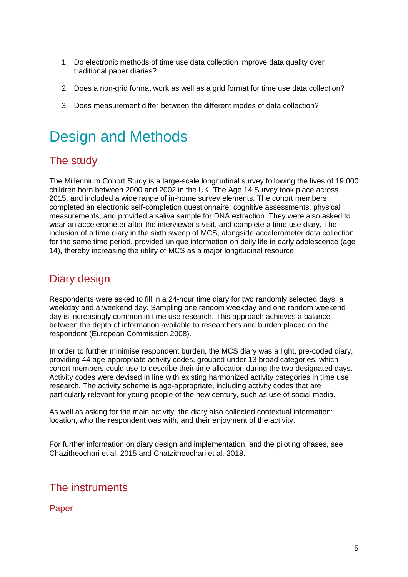- 1. Do electronic methods of time use data collection improve data quality over traditional paper diaries?
- 2. Does a non-grid format work as well as a grid format for time use data collection?
- 3. Does measurement differ between the different modes of data collection?

# Design and Methods

# The study

The Millennium Cohort Study is a large-scale longitudinal survey following the lives of 19,000 children born between 2000 and 2002 in the UK. The Age 14 Survey took place across 2015, and included a wide range of in-home survey elements. The cohort members completed an electronic self-completion questionnaire, cognitive assessments, physical measurements, and provided a saliva sample for DNA extraction. They were also asked to wear an accelerometer after the interviewer's visit, and complete a time use diary. The inclusion of a time diary in the sixth sweep of MCS, alongside accelerometer data collection for the same time period, provided unique information on daily life in early adolescence (age 14), thereby increasing the utility of MCS as a major longitudinal resource.

# Diary design

Respondents were asked to fill in a 24-hour time diary for two randomly selected days, a weekday and a weekend day. Sampling one random weekday and one random weekend day is increasingly common in time use research. This approach achieves a balance between the depth of information available to researchers and burden placed on the respondent (European Commission 2008).

In order to further minimise respondent burden, the MCS diary was a light, pre-coded diary, providing 44 age-appropriate activity codes, grouped under 13 broad categories, which cohort members could use to describe their time allocation during the two designated days. Activity codes were devised in line with existing harmonized activity categories in time use research. The activity scheme is age-appropriate, including activity codes that are particularly relevant for young people of the new century, such as use of social media.

As well as asking for the main activity, the diary also collected contextual information: location, who the respondent was with, and their enjoyment of the activity.

For further information on diary design and implementation, and the piloting phases, see Chazitheochari et al. 2015 and Chatzitheochari et al. 2018.

## The instruments

**Paper**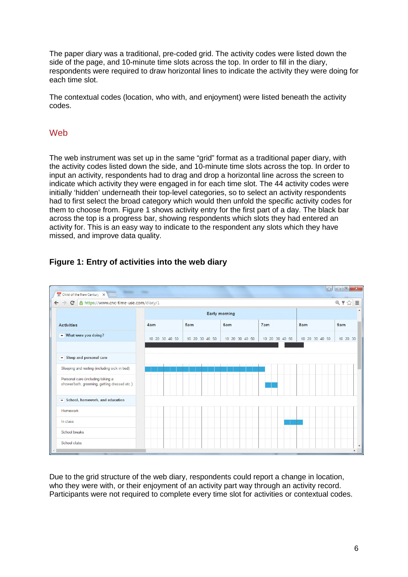The paper diary was a traditional, pre-coded grid. The activity codes were listed down the side of the page, and 10-minute time slots across the top. In order to fill in the diary, respondents were required to draw horizontal lines to indicate the activity they were doing for each time slot.

The contextual codes (location, who with, and enjoyment) were listed beneath the activity codes.

#### Web

The web instrument was set up in the same "grid" format as a traditional paper diary, with the activity codes listed down the side, and 10-minute time slots across the top. In order to input an activity, respondents had to drag and drop a horizontal line across the screen to indicate which activity they were engaged in for each time slot. The 44 activity codes were initially 'hidden' underneath their top-level categories, so to select an activity respondents had to first select the broad category which would then unfold the specific activity codes for them to choose from. Figure 1 shows activity entry for the first part of a day. The black bar across the top is a progress bar, showing respondents which slots they had entered an activity for. This is an easy way to indicate to the respondent any slots which they have missed, and improve data quality.

#### **Figure 1: Entry of activities into the web diary**



Due to the grid structure of the web diary, respondents could report a change in location, who they were with, or their enjoyment of an activity part way through an activity record. Participants were not required to complete every time slot for activities or contextual codes.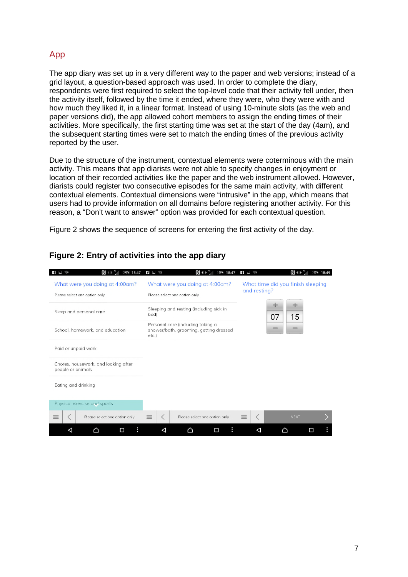#### App

The app diary was set up in a very different way to the paper and web versions; instead of a grid layout, a question-based approach was used. In order to complete the diary, respondents were first required to select the top-level code that their activity fell under, then the activity itself, followed by the time it ended, where they were, who they were with and how much they liked it, in a linear format. Instead of using 10-minute slots (as the web and paper versions did), the app allowed cohort members to assign the ending times of their activities. More specifically, the first starting time was set at the start of the day (4am), and the subsequent starting times were set to match the ending times of the previous activity reported by the user.

Due to the structure of the instrument, contextual elements were coterminous with the main activity. This means that app diarists were not able to specify changes in enjoyment or location of their recorded activities like the paper and the web instrument allowed. However, diarists could register two consecutive episodes for the same main activity, with different contextual elements. Contextual dimensions were "intrusive" in the app, which means that users had to provide information on all domains before registering another activity. For this reason, a "Don't want to answer" option was provided for each contextual question.

Figure 2 shows the sequence of screens for entering the first activity of the day.

| N o "<br>$56\%$ 15:47<br>ł                                       | $\mathbf{f}$ $\mathbf{L}$ $\mathbf{Z}$                                                  | <b>N</b> 0 4<br>$56\%$ 15:49                         |
|------------------------------------------------------------------|-----------------------------------------------------------------------------------------|------------------------------------------------------|
| What were you doing at 4:00 am?<br>Please select one option only | What were you doing at 4:00 am?<br>Please select one option only                        | What time did you finish sleeping<br>and resting?    |
| Sleep and personal care                                          | Sleeping and resting (including sick in<br>bed)                                         | 07<br>15                                             |
| School, homework, and education                                  | Personal care (including taking a<br>shower/bath, grooming, getting dressed<br>$etc.$ ) | $\overline{\phantom{a}}$<br>$\overline{\phantom{a}}$ |
| Paid or unpaid work                                              |                                                                                         |                                                      |
| Chores, housework, and looking after<br>people or animals        |                                                                                         |                                                      |
| Eating and drinking                                              |                                                                                         |                                                      |
| Physical exercise and sports                                     |                                                                                         |                                                      |
| $\equiv$<br>Please select one option only                        | $\equiv$<br>Please select one option only                                               | $\equiv$<br><b>NEXT</b>                              |
| □<br>⊲<br>◠                                                      | ÷<br>□<br>◁                                                                             | ◁<br>П                                               |

#### **Figure 2: Entry of activities into the app diary**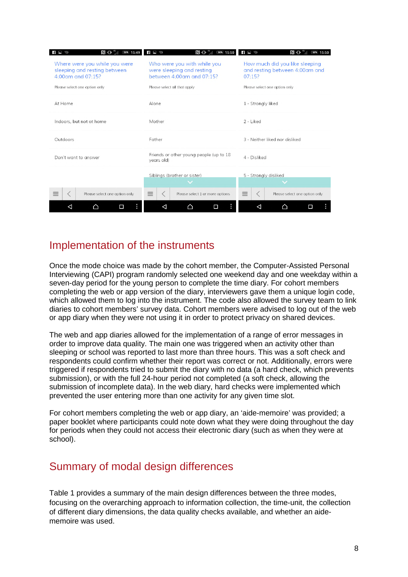| n." O'M<br>$\frac{1}{2}$<br>56% 15:49                                                    | $\mathbb{N}$ or $\mathbb{S}$<br>$f = \sqrt{2}$<br>$56\%$ 15:50                        | $F = 2$<br>8 0 <sup>46</sup><br>$56\%$ 15:50                               |
|------------------------------------------------------------------------------------------|---------------------------------------------------------------------------------------|----------------------------------------------------------------------------|
| Where were you while you were<br>sleeping and resting between<br>$4.00$ cm and $07.15$ ? | Who were you with while you<br>were sleeping and resting<br>between 4:00am and 07:15? | How much did you like sleeping<br>and resting between 4:00am and<br>07:15? |
| Please select one option only                                                            | Please select all that apply                                                          | Please select one option only                                              |
| At Home                                                                                  | Alone                                                                                 | 1 - Strongly liked                                                         |
| Indoors, but not at home                                                                 | Mother                                                                                | $2 -$ Liked                                                                |
| Outdoors                                                                                 | Father                                                                                | 3 - Neither liked nor disliked                                             |
| Don't want to answer                                                                     | Friends or other young people (up to 18<br>years old)                                 | 4 - Disliked                                                               |
|                                                                                          | Siblings (brother or sister)                                                          | 5 - Strongly disliked                                                      |
| $\equiv$<br>Please select one option only                                                | $\equiv$<br>Please select 1 or more options                                           | $\equiv$<br>Please select one option only                                  |
| ◠<br>□                                                                                   | ◁<br>Π                                                                                | ⊲<br>⌒<br>п                                                                |

## Implementation of the instruments

Once the mode choice was made by the cohort member, the Computer-Assisted Personal Interviewing (CAPI) program randomly selected one weekend day and one weekday within a seven-day period for the young person to complete the time diary. For cohort members completing the web or app version of the diary, interviewers gave them a unique login code, which allowed them to log into the instrument. The code also allowed the survey team to link diaries to cohort members' survey data. Cohort members were advised to log out of the web or app diary when they were not using it in order to protect privacy on shared devices.

The web and app diaries allowed for the implementation of a range of error messages in order to improve data quality. The main one was triggered when an activity other than sleeping or school was reported to last more than three hours. This was a soft check and respondents could confirm whether their report was correct or not. Additionally, errors were triggered if respondents tried to submit the diary with no data (a hard check, which prevents submission), or with the full 24-hour period not completed (a soft check, allowing the submission of incomplete data). In the web diary, hard checks were implemented which prevented the user entering more than one activity for any given time slot.

For cohort members completing the web or app diary, an 'aide-memoire' was provided; a paper booklet where participants could note down what they were doing throughout the day for periods when they could not access their electronic diary (such as when they were at school).

## Summary of modal design differences

Table 1 provides a summary of the main design differences between the three modes, focusing on the overarching approach to information collection, the time-unit, the collection of different diary dimensions, the data quality checks available, and whether an aidememoire was used.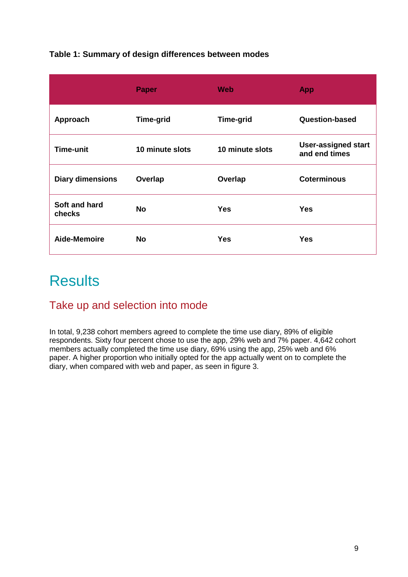#### **Table 1: Summary of design differences between modes**

|                         | <b>Paper</b>     | <b>Web</b>       | <b>App</b>                                  |
|-------------------------|------------------|------------------|---------------------------------------------|
| Approach                | <b>Time-grid</b> | <b>Time-grid</b> | Question-based                              |
| Time-unit               | 10 minute slots  | 10 minute slots  | <b>User-assigned start</b><br>and end times |
| <b>Diary dimensions</b> | Overlap          | Overlap          | <b>Coterminous</b>                          |
| Soft and hard<br>checks | <b>No</b>        | <b>Yes</b>       | <b>Yes</b>                                  |
| Aide-Memoire            | <b>No</b>        | <b>Yes</b>       | <b>Yes</b>                                  |

# **Results**

## Take up and selection into mode

In total, 9,238 cohort members agreed to complete the time use diary, 89% of eligible respondents. Sixty four percent chose to use the app, 29% web and 7% paper. 4,642 cohort members actually completed the time use diary, 69% using the app, 25% web and 6% paper. A higher proportion who initially opted for the app actually went on to complete the diary, when compared with web and paper, as seen in figure 3.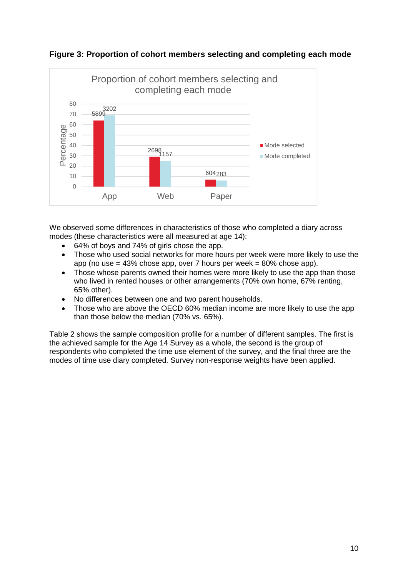

**Figure 3: Proportion of cohort members selecting and completing each mode** 

We observed some differences in characteristics of those who completed a diary across modes (these characteristics were all measured at age 14):

- 64% of boys and 74% of girls chose the app.
- Those who used social networks for more hours per week were more likely to use the app (no use  $= 43\%$  chose app, over 7 hours per week  $= 80\%$  chose app).
- Those whose parents owned their homes were more likely to use the app than those who lived in rented houses or other arrangements (70% own home, 67% renting, 65% other).
- No differences between one and two parent households.
- Those who are above the OECD 60% median income are more likely to use the app than those below the median (70% vs. 65%).

Table 2 shows the sample composition profile for a number of different samples. The first is the achieved sample for the Age 14 Survey as a whole, the second is the group of respondents who completed the time use element of the survey, and the final three are the modes of time use diary completed. Survey non-response weights have been applied.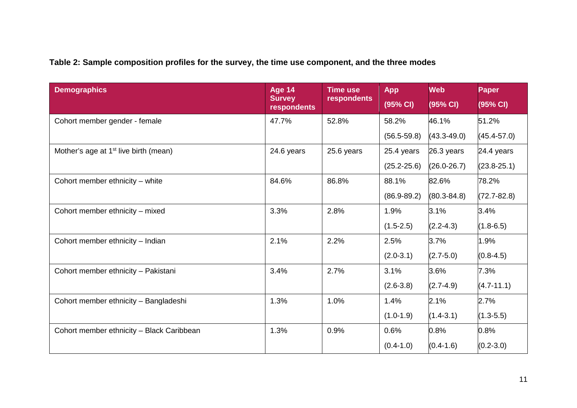## **Table 2: Sample composition profiles for the survey, the time use component, and the three modes**

| <b>Demographics</b>                               | Age 14<br><b>Survey</b><br>respondents | <b>Time use</b><br>respondents | <b>App</b><br>(95% CI) | Web<br>(95% CI) | <b>Paper</b><br>(95% CI) |
|---------------------------------------------------|----------------------------------------|--------------------------------|------------------------|-----------------|--------------------------|
| Cohort member gender - female                     | 47.7%                                  | 52.8%                          | 58.2%                  | 46.1%           | 51.2%                    |
|                                                   |                                        |                                | $(56.5 - 59.8)$        | $(43.3 - 49.0)$ | $(45.4 - 57.0)$          |
| Mother's age at 1 <sup>st</sup> live birth (mean) | 24.6 years                             | 25.6 years                     | 25.4 years             | 26.3 years      | 24.4 years               |
|                                                   |                                        |                                | $(25.2 - 25.6)$        | $(26.0 - 26.7)$ | $(23.8 - 25.1)$          |
| Cohort member ethnicity - white                   | 84.6%                                  | 86.8%                          | 88.1%                  | 82.6%           | 78.2%                    |
|                                                   |                                        |                                | $(86.9 - 89.2)$        | $(80.3 - 84.8)$ | $(72.7 - 82.8)$          |
| Cohort member ethnicity - mixed                   | 3.3%                                   | 2.8%                           | 1.9%                   | 3.1%            | 3.4%                     |
|                                                   |                                        |                                | $(1.5 - 2.5)$          | $(2.2 - 4.3)$   | $(1.8 - 6.5)$            |
| Cohort member ethnicity - Indian                  | 2.1%                                   | 2.2%                           | 2.5%                   | 3.7%            | 1.9%                     |
|                                                   |                                        |                                | $(2.0-3.1)$            | $(2.7 - 5.0)$   | $(0.8 - 4.5)$            |
| Cohort member ethnicity - Pakistani               | 3.4%                                   | 2.7%                           | 3.1%                   | 3.6%            | 7.3%                     |
|                                                   |                                        |                                | $(2.6 - 3.8)$          | $(2.7 - 4.9)$   | $(4.7 - 11.1)$           |
| Cohort member ethnicity - Bangladeshi             | 1.3%                                   | 1.0%                           | 1.4%                   | 2.1%            | 2.7%                     |
|                                                   |                                        |                                | $(1.0-1.9)$            | $(1.4 - 3.1)$   | $(1.3 - 5.5)$            |
| Cohort member ethnicity - Black Caribbean         | 1.3%                                   | 0.9%                           | 0.6%                   | 0.8%            | 0.8%                     |
|                                                   |                                        |                                | $(0.4-1.0)$            | $(0.4 - 1.6)$   | $(0.2 - 3.0)$            |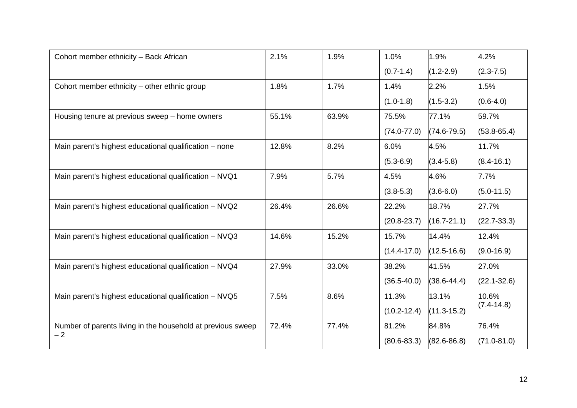| Cohort member ethnicity - Back African                      | 2.1%  | 1.9%  | 1.0%            | 1.9%            | 4.2%            |
|-------------------------------------------------------------|-------|-------|-----------------|-----------------|-----------------|
|                                                             |       |       | $(0.7-1.4)$     | $(1.2 - 2.9)$   | $(2.3 - 7.5)$   |
| Cohort member ethnicity – other ethnic group                | 1.8%  | 1.7%  | 1.4%            | 2.2%            | 1.5%            |
|                                                             |       |       | $(1.0-1.8)$     | $(1.5 - 3.2)$   | $(0.6-4.0)$     |
| Housing tenure at previous sweep – home owners              | 55.1% | 63.9% | 75.5%           | 77.1%           | 59.7%           |
|                                                             |       |       | $(74.0 - 77.0)$ | $(74.6 - 79.5)$ | $(53.8 - 65.4)$ |
| Main parent's highest educational qualification – none      | 12.8% | 8.2%  | 6.0%            | 4.5%            | 11.7%           |
|                                                             |       |       | $(5.3 - 6.9)$   | $(3.4 - 5.8)$   | $(8.4 - 16.1)$  |
| Main parent's highest educational qualification - NVQ1      | 7.9%  | 5.7%  | 4.5%            | 4.6%            | 7.7%            |
|                                                             |       |       | $(3.8 - 5.3)$   | $(3.6 - 6.0)$   | $(5.0 - 11.5)$  |
| Main parent's highest educational qualification - NVQ2      | 26.4% | 26.6% | 22.2%           | 18.7%           | 27.7%           |
|                                                             |       |       | $(20.8 - 23.7)$ | $(16.7 - 21.1)$ | $(22.7 - 33.3)$ |
| Main parent's highest educational qualification - NVQ3      | 14.6% | 15.2% | 15.7%           | 14.4%           | 12.4%           |
|                                                             |       |       | $(14.4 - 17.0)$ | $(12.5 - 16.6)$ | $(9.0 - 16.9)$  |
| Main parent's highest educational qualification - NVQ4      | 27.9% | 33.0% | 38.2%           | 41.5%           | 27.0%           |
|                                                             |       |       | $(36.5 - 40.0)$ | $(38.6 - 44.4)$ | $(22.1 - 32.6)$ |
| Main parent's highest educational qualification - NVQ5      | 7.5%  | 8.6%  | 11.3%           | 13.1%           | 10.6%           |
|                                                             |       |       | $(10.2 - 12.4)$ | $(11.3 - 15.2)$ | $(7.4 - 14.8)$  |
| Number of parents living in the household at previous sweep | 72.4% | 77.4% | 81.2%           | 84.8%           | 76.4%           |
| $-2$                                                        |       |       | $(80.6 - 83.3)$ | $(82.6 - 86.8)$ | $(71.0 - 81.0)$ |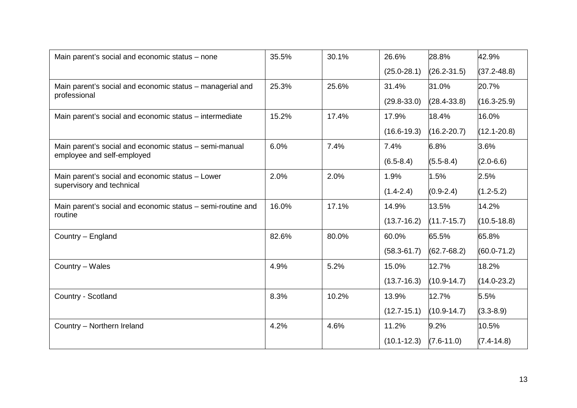| Main parent's social and economic status - none             | 35.5% | 30.1% | 26.6%           | 28.8%           | 42.9%           |
|-------------------------------------------------------------|-------|-------|-----------------|-----------------|-----------------|
|                                                             |       |       | $(25.0 - 28.1)$ | $(26.2 - 31.5)$ | $(37.2 - 48.8)$ |
| Main parent's social and economic status - managerial and   | 25.3% | 25.6% | 31.4%           | 31.0%           | 20.7%           |
| professional                                                |       |       | $(29.8 - 33.0)$ | $(28.4 - 33.8)$ | $(16.3 - 25.9)$ |
| Main parent's social and economic status – intermediate     | 15.2% | 17.4% | 17.9%           | 18.4%           | 16.0%           |
|                                                             |       |       | $(16.6 - 19.3)$ | $(16.2 - 20.7)$ | $(12.1 - 20.8)$ |
| Main parent's social and economic status - semi-manual      | 6.0%  | 7.4%  | 7.4%            | 6.8%            | 3.6%            |
| employee and self-employed                                  |       |       | $(6.5 - 8.4)$   | $(5.5 - 8.4)$   | $(2.0 - 6.6)$   |
| Main parent's social and economic status - Lower            | 2.0%  | 2.0%  | 1.9%            | 1.5%            | 2.5%            |
| supervisory and technical                                   |       |       | $(1.4 - 2.4)$   | $(0.9 - 2.4)$   | $(1.2 - 5.2)$   |
| Main parent's social and economic status - semi-routine and | 16.0% | 17.1% | 14.9%           | 13.5%           | 14.2%           |
| routine                                                     |       |       | $(13.7 - 16.2)$ | $(11.7 - 15.7)$ | $(10.5 - 18.8)$ |
| Country - England                                           | 82.6% | 80.0% | 60.0%           | 65.5%           | 65.8%           |
|                                                             |       |       | $(58.3 - 61.7)$ | $(62.7 - 68.2)$ | $(60.0 - 71.2)$ |
| Country - Wales                                             | 4.9%  | 5.2%  | 15.0%           | 12.7%           | 18.2%           |
|                                                             |       |       | $(13.7 - 16.3)$ | $(10.9 - 14.7)$ | $(14.0 - 23.2)$ |
| Country - Scotland                                          | 8.3%  | 10.2% | 13.9%           | 12.7%           | 5.5%            |
|                                                             |       |       | $(12.7 - 15.1)$ | $(10.9 - 14.7)$ | $(3.3 - 8.9)$   |
| Country - Northern Ireland                                  | 4.2%  | 4.6%  | 11.2%           | 9.2%            | 10.5%           |
|                                                             |       |       | $(10.1 - 12.3)$ | $(7.6 - 11.0)$  | $(7.4 - 14.8)$  |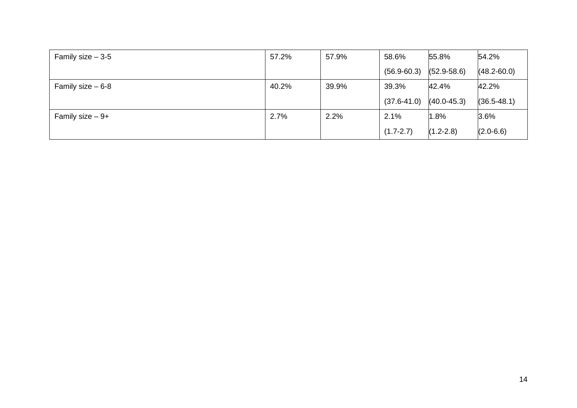| Family size $-3-5$ | 57.2% | 57.9% | 58.6%           | 55.8%           | 54.2%           |
|--------------------|-------|-------|-----------------|-----------------|-----------------|
|                    |       |       | $(56.9 - 60.3)$ | $(52.9 - 58.6)$ | $(48.2 - 60.0)$ |
| Family size $-6-8$ | 40.2% | 39.9% | 39.3%           | 42.4%           | 42.2%           |
|                    |       |       | $(37.6 - 41.0)$ | $(40.0 - 45.3)$ | $(36.5 - 48.1)$ |
| Family size $-9+$  | 2.7%  | 2.2%  | 2.1%            | 1.8%            | 3.6%            |
|                    |       |       | $(1.7 - 2.7)$   | $(1.2 - 2.8)$   | $(2.0 - 6.6)$   |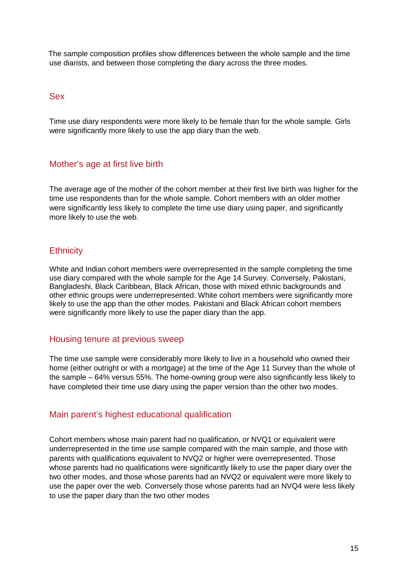The sample composition profiles show differences between the whole sample and the time use diarists, and between those completing the diary across the three modes.

#### Sex

Time use diary respondents were more likely to be female than for the whole sample. Girls were significantly more likely to use the app diary than the web.

#### Mother's age at first live birth

The average age of the mother of the cohort member at their first live birth was higher for the time use respondents than for the whole sample. Cohort members with an older mother were significantly less likely to complete the time use diary using paper, and significantly more likely to use the web.

#### **Ethnicity**

White and Indian cohort members were overrepresented in the sample completing the time use diary compared with the whole sample for the Age 14 Survey. Conversely, Pakistani, Bangladeshi, Black Caribbean, Black African, those with mixed ethnic backgrounds and other ethnic groups were underrepresented. White cohort members were significantly more likely to use the app than the other modes. Pakistani and Black African cohort members were significantly more likely to use the paper diary than the app.

#### Housing tenure at previous sweep

The time use sample were considerably more likely to live in a household who owned their home (either outright or with a mortgage) at the time of the Age 11 Survey than the whole of the sample – 64% versus 55%. The home-owning group were also significantly less likely to have completed their time use diary using the paper version than the other two modes.

#### Main parent's highest educational qualification

Cohort members whose main parent had no qualification, or NVQ1 or equivalent were underrepresented in the time use sample compared with the main sample, and those with parents with qualifications equivalent to NVQ2 or higher were overrepresented. Those whose parents had no qualifications were significantly likely to use the paper diary over the two other modes, and those whose parents had an NVQ2 or equivalent were more likely to use the paper over the web. Conversely those whose parents had an NVQ4 were less likely to use the paper diary than the two other modes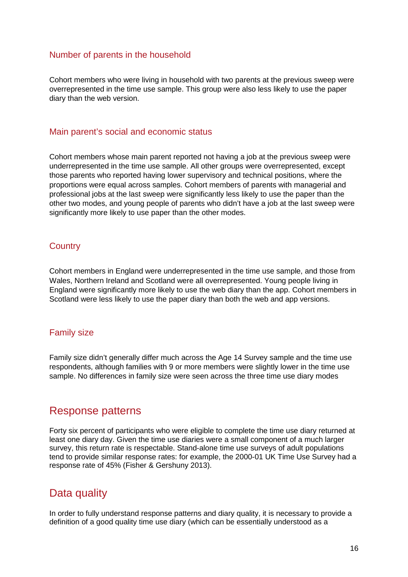#### Number of parents in the household

Cohort members who were living in household with two parents at the previous sweep were overrepresented in the time use sample. This group were also less likely to use the paper diary than the web version.

#### Main parent's social and economic status

Cohort members whose main parent reported not having a job at the previous sweep were underrepresented in the time use sample. All other groups were overrepresented, except those parents who reported having lower supervisory and technical positions, where the proportions were equal across samples. Cohort members of parents with managerial and professional jobs at the last sweep were significantly less likely to use the paper than the other two modes, and young people of parents who didn't have a job at the last sweep were significantly more likely to use paper than the other modes.

#### **Country**

Cohort members in England were underrepresented in the time use sample, and those from Wales, Northern Ireland and Scotland were all overrepresented. Young people living in England were significantly more likely to use the web diary than the app. Cohort members in Scotland were less likely to use the paper diary than both the web and app versions.

#### Family size

Family size didn't generally differ much across the Age 14 Survey sample and the time use respondents, although families with 9 or more members were slightly lower in the time use sample. No differences in family size were seen across the three time use diary modes

#### Response patterns

Forty six percent of participants who were eligible to complete the time use diary returned at least one diary day. Given the time use diaries were a small component of a much larger survey, this return rate is respectable. Stand-alone time use surveys of adult populations tend to provide similar response rates: for example, the 2000-01 UK Time Use Survey had a response rate of 45% (Fisher & Gershuny 2013).

## Data quality

In order to fully understand response patterns and diary quality, it is necessary to provide a definition of a good quality time use diary (which can be essentially understood as a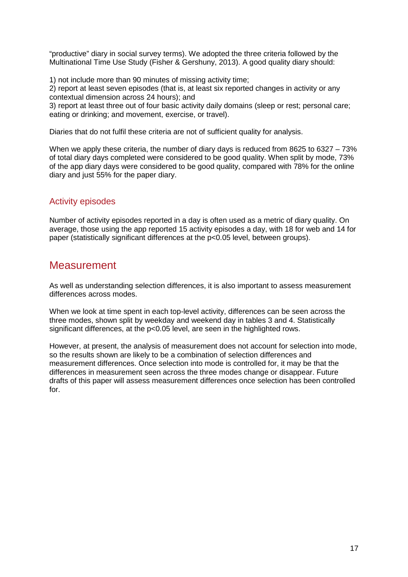"productive" diary in social survey terms). We adopted the three criteria followed by the Multinational Time Use Study (Fisher & Gershuny, 2013). A good quality diary should:

1) not include more than 90 minutes of missing activity time;

2) report at least seven episodes (that is, at least six reported changes in activity or any contextual dimension across 24 hours); and

3) report at least three out of four basic activity daily domains (sleep or rest; personal care; eating or drinking; and movement, exercise, or travel).

Diaries that do not fulfil these criteria are not of sufficient quality for analysis.

When we apply these criteria, the number of diary days is reduced from 8625 to 6327 – 73% of total diary days completed were considered to be good quality. When split by mode, 73% of the app diary days were considered to be good quality, compared with 78% for the online diary and just 55% for the paper diary.

#### Activity episodes

Number of activity episodes reported in a day is often used as a metric of diary quality. On average, those using the app reported 15 activity episodes a day, with 18 for web and 14 for paper (statistically significant differences at the p<0.05 level, between groups).

## **Measurement**

As well as understanding selection differences, it is also important to assess measurement differences across modes.

When we look at time spent in each top-level activity, differences can be seen across the three modes, shown split by weekday and weekend day in tables 3 and 4. Statistically significant differences, at the p<0.05 level, are seen in the highlighted rows.

However, at present, the analysis of measurement does not account for selection into mode, so the results shown are likely to be a combination of selection differences and measurement differences. Once selection into mode is controlled for, it may be that the differences in measurement seen across the three modes change or disappear. Future drafts of this paper will assess measurement differences once selection has been controlled for.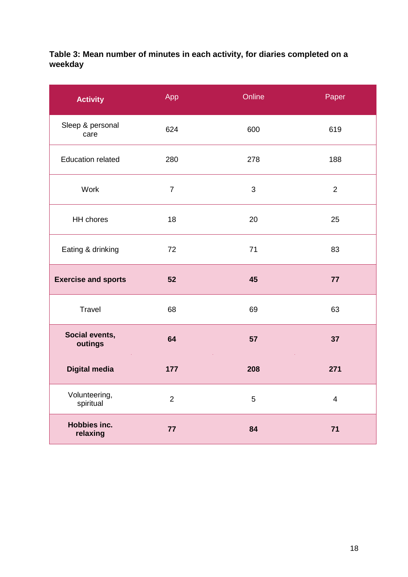#### **Table 3: Mean number of minutes in each activity, for diaries completed on a weekday**

| <b>Activity</b>            | App            | Online | Paper          |
|----------------------------|----------------|--------|----------------|
| Sleep & personal<br>care   | 624            | 600    | 619            |
| <b>Education related</b>   | 280            | 278    | 188            |
| Work                       | $\overline{7}$ | 3      | $\overline{2}$ |
| HH chores                  | 18             | 20     | 25             |
| Eating & drinking          | 72             | 71     | 83             |
| <b>Exercise and sports</b> | 52             | 45     | 77             |
| Travel                     | 68             | 69     | 63             |
| Social events,<br>outings  | 64             | 57     | 37             |
| <b>Digital media</b>       | 177            | 208    | 271            |
| Volunteering,<br>spiritual | $\overline{2}$ | 5      | $\overline{4}$ |
| Hobbies inc.<br>relaxing   | 77             | 84     | 71             |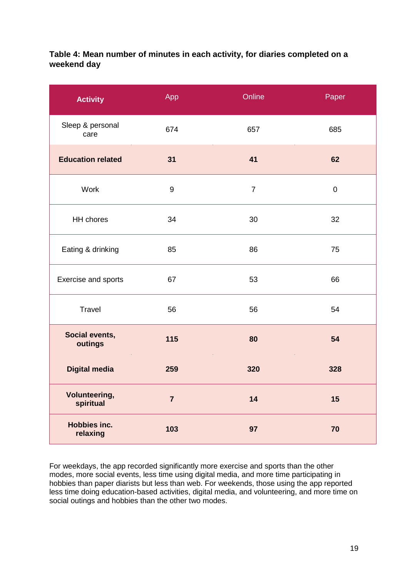#### **Table 4: Mean number of minutes in each activity, for diaries completed on a weekend day**

| <b>Activity</b>                   | App              | Online         | Paper     |
|-----------------------------------|------------------|----------------|-----------|
| Sleep & personal<br>care          | 674              | 657            | 685       |
| <b>Education related</b>          | 31               | 41             | 62        |
| Work                              | $\boldsymbol{9}$ | $\overline{7}$ | $\pmb{0}$ |
| HH chores                         | 34               | 30             | 32        |
| Eating & drinking                 | 85               | 86             | 75        |
| Exercise and sports               | 67               | 53             | 66        |
| Travel                            | 56               | 56             | 54        |
| Social events,<br>outings         | 115              | 80             | 54        |
| <b>Digital media</b>              | 259              | 320            | 328       |
| <b>Volunteering,</b><br>spiritual | $\overline{7}$   | 14             | 15        |
| Hobbies inc.<br>relaxing          | 103              | 97             | 70        |

For weekdays, the app recorded significantly more exercise and sports than the other modes, more social events, less time using digital media, and more time participating in hobbies than paper diarists but less than web. For weekends, those using the app reported less time doing education-based activities, digital media, and volunteering, and more time on social outings and hobbies than the other two modes.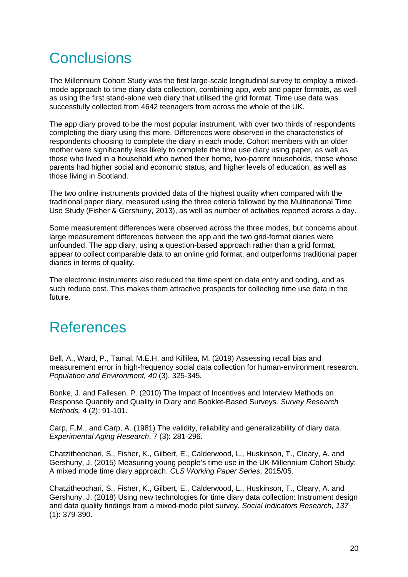# **Conclusions**

The Millennium Cohort Study was the first large-scale longitudinal survey to employ a mixedmode approach to time diary data collection, combining app, web and paper formats, as well as using the first stand-alone web diary that utilised the grid format. Time use data was successfully collected from 4642 teenagers from across the whole of the UK.

The app diary proved to be the most popular instrument, with over two thirds of respondents completing the diary using this more. Differences were observed in the characteristics of respondents choosing to complete the diary in each mode. Cohort members with an older mother were significantly less likely to complete the time use diary using paper, as well as those who lived in a household who owned their home, two-parent households, those whose parents had higher social and economic status, and higher levels of education, as well as those living in Scotland.

The two online instruments provided data of the highest quality when compared with the traditional paper diary, measured using the three criteria followed by the Multinational Time Use Study (Fisher & Gershuny, 2013), as well as number of activities reported across a day.

Some measurement differences were observed across the three modes, but concerns about large measurement differences between the app and the two grid-format diaries were unfounded. The app diary, using a question-based approach rather than a grid format, appear to collect comparable data to an online grid format, and outperforms traditional paper diaries in terms of quality.

The electronic instruments also reduced the time spent on data entry and coding, and as such reduce cost. This makes them attractive prospects for collecting time use data in the future.

# References

Bell, A., Ward, P., Tamal, M.E.H. and Killilea, M. (2019) Assessing recall bias and measurement error in high-frequency social data collection for human-environment research. *Population and Environment, 40* (3), 325-345.

Bonke, J. and Fallesen, P. (2010) The Impact of Incentives and Interview Methods on Response Quantity and Quality in Diary and Booklet-Based Surveys. *Survey Research Methods,* 4 (2): 91-101.

Carp, F.M., and Carp, A. (1981) The validity, reliability and generalizability of diary data. *Experimental Aging Research*, 7 (3): 281-296.

Chatzitheochari, S., Fisher, K., Gilbert, E., Calderwood, L., Huskinson, T., Cleary, A. and Gershuny, J. (2015) Measuring young people's time use in the UK Millennium Cohort Study: A mixed mode time diary approach. *CLS Working Paper Series*, 2015/05.

Chatzitheochari, S., Fisher, K., Gilbert, E., Calderwood, L., Huskinson, T., Cleary, A. and Gershuny, J. (2018) Using new technologies for time diary data collection: Instrument design and data quality findings from a mixed-mode pilot survey. *Social Indicators Research, 137* (1): 379-390.